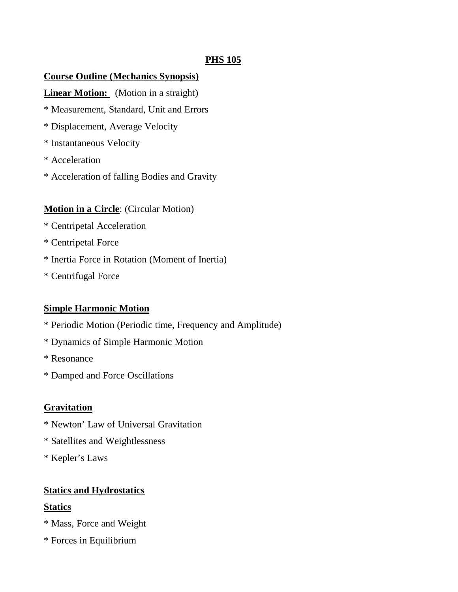## **PHS 105**

## **Course Outline (Mechanics Synopsis)**

**Linear Motion:** (Motion in a straight)

- \* Measurement, Standard, Unit and Errors
- \* Displacement, Average Velocity
- \* Instantaneous Velocity
- \* Acceleration
- \* Acceleration of falling Bodies and Gravity

## **Motion in a Circle**: (Circular Motion)

- \* Centripetal Acceleration
- \* Centripetal Force
- \* Inertia Force in Rotation (Moment of Inertia)
- \* Centrifugal Force

## **Simple Harmonic Motion**

- \* Periodic Motion (Periodic time, Frequency and Amplitude)
- \* Dynamics of Simple Harmonic Motion
- \* Resonance
- \* Damped and Force Oscillations

## **Gravitation**

- \* Newton' Law of Universal Gravitation
- \* Satellites and Weightlessness
- \* Kepler's Laws

## **Statics and Hydrostatics**

## **Statics**

- \* Mass, Force and Weight
- \* Forces in Equilibrium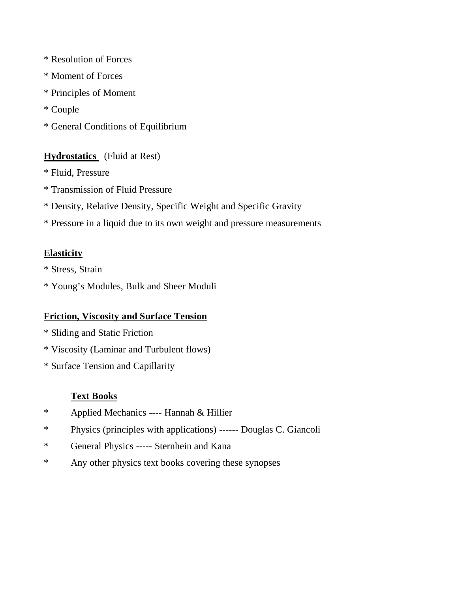- \* Resolution of Forces
- \* Moment of Forces
- \* Principles of Moment
- \* Couple
- \* General Conditions of Equilibrium

# **Hydrostatics** (Fluid at Rest)

- \* Fluid, Pressure
- \* Transmission of Fluid Pressure
- \* Density, Relative Density, Specific Weight and Specific Gravity
- \* Pressure in a liquid due to its own weight and pressure measurements

# **Elasticity**

- \* Stress, Strain
- \* Young's Modules, Bulk and Sheer Moduli

# **Friction, Viscosity and Surface Tension**

- \* Sliding and Static Friction
- \* Viscosity (Laminar and Turbulent flows)
- \* Surface Tension and Capillarity

# **Text Books**

- \* Applied Mechanics ---- Hannah & Hillier
- \* Physics (principles with applications) ------ Douglas C. Giancoli
- \* General Physics ----- Sternhein and Kana
- \* Any other physics text books covering these synopses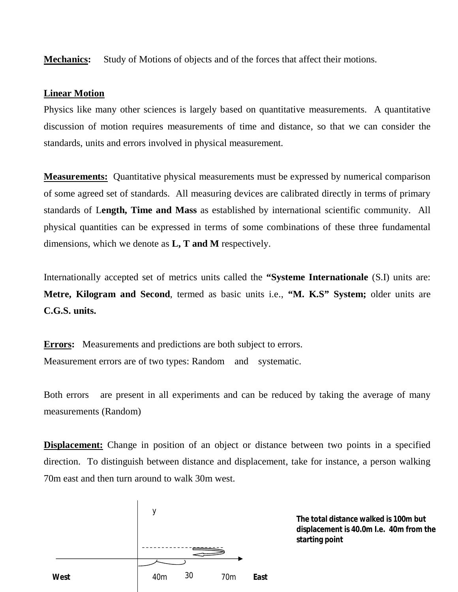**Mechanics:** Study of Motions of objects and of the forces that affect their motions.

### **Linear Motion**

Physics like many other sciences is largely based on quantitative measurements. A quantitative discussion of motion requires measurements of time and distance, so that we can consider the standards, units and errors involved in physical measurement.

**Measurements:** Quantitative physical measurements must be expressed by numerical comparison of some agreed set of standards. All measuring devices are calibrated directly in terms of primary standards of L**ength, Time and Mass** as established by international scientific community. All physical quantities can be expressed in terms of some combinations of these three fundamental dimensions, which we denote as **L, T and M** respectively.

Internationally accepted set of metrics units called the **"Systeme Internationale** (S.I) units are: **Metre, Kilogram and Second**, termed as basic units i.e., **"M. K.S" System;** older units are **C.G.S. units.**

**Errors:** Measurements and predictions are both subject to errors. Measurement errors are of two types: Random and systematic.

Both errors are present in all experiments and can be reduced by taking the average of many measurements (Random)

**Displacement:** Change in position of an object or distance between two points in a specified direction. To distinguish between distance and displacement, take for instance, a person walking 70m east and then turn around to walk 30m west.



**The total distance walked is 100m but displacement is 40.0m I.e. 40m from the starting point**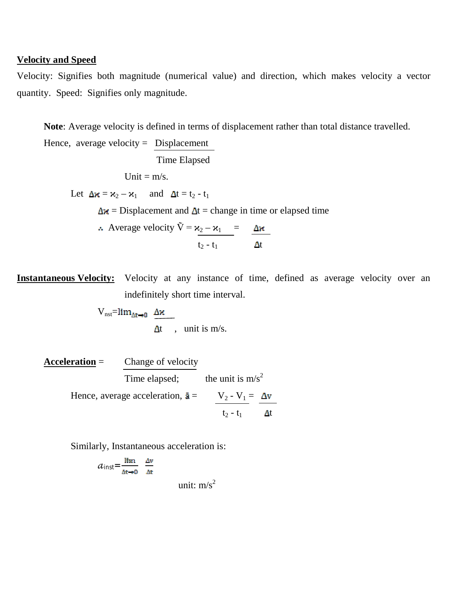### **Velocity and Speed**

Velocity: Signifies both magnitude (numerical value) and direction, which makes velocity a vector quantity. Speed: Signifies only magnitude.

**Note**: Average velocity is defined in terms of displacement rather than total distance travelled.

Hence, average velocity =  $Displacement$  Time Elapsed Unit =  $m/s$ . Let  $\Delta x = x_2 - x_1$  and  $\Delta t = t_2 - t_1$  $\Delta x$  = Displacement and  $\Delta t$  = change in time or elapsed time Average velocity  $\tilde{V} = x_2 - x_1 =$ 

**Instantaneous Velocity:** Velocity at any instance of time, defined as average velocity over an indefinitely short time interval.

 $t_2 - t_1$   $\Delta t$ 

 $V_{\text{nst}}=lim_{\Delta t\rightarrow 0} \Delta x$  $\Delta t$ , unit is m/s.

**Acceleration** = Change of velocity Time elapsed; the unit is  $m/s^2$ Hence, average acceleration,  $\bar{a} = \frac{V_2 - V_1}{\Delta v} = \frac{\Delta v}{\Delta w}$  $t_2 - t_1$   $\Delta t$ 

Similarly, Instantaneous acceleration is:

$$
a_{\text{inst}} = \frac{\lim_{\Delta x \to 0} \Delta v}{\Delta x}
$$
unit: m/s<sup>2</sup>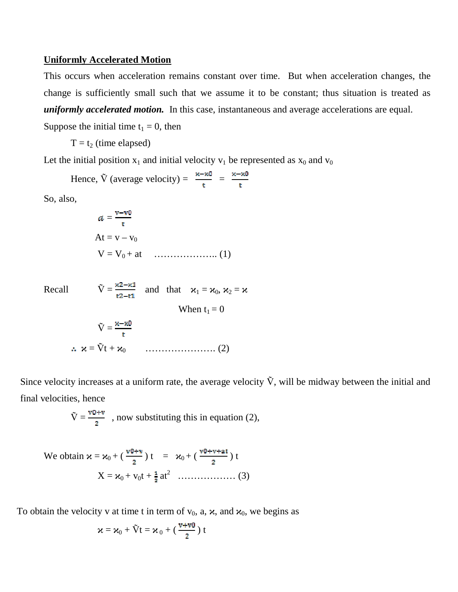#### **Uniformly Accelerated Motion**

This occurs when acceleration remains constant over time. But when acceleration changes, the change is sufficiently small such that we assume it to be constant; thus situation is treated as *uniformly accelerated motion.* In this case, instantaneous and average accelerations are equal.

Suppose the initial time  $t_1 = 0$ , then

$$
T = t_2 \text{ (time elapsed)}
$$

Let the initial position  $x_1$  and initial velocity  $v_1$  be represented as  $x_0$  and  $v_0$ 

Hence,  $\tilde{V}$  (average velocity) =  $\frac{x - \kappa 0}{t} = \frac{\kappa - \kappa 0}{t}$ 

So, also,

$$
a = \frac{v - v_0}{t}
$$
  
At = v - v<sub>0</sub>  

$$
V = V_0 + at \quad \dots \quad (1)
$$

Recall  $\tilde{V} = \frac{\kappa 2 - \kappa 1}{\kappa 2 - \kappa 1}$  and that  $\varkappa_1 = \varkappa_0, \varkappa_2 = \varkappa$ When  $t_1 = 0$  $\tilde{V} = \frac{\kappa - \kappa_0}{\kappa}$ ϰ = Ṽt + ϰ0 …………………. (2)

Since velocity increases at a uniform rate, the average velocity  $\tilde{V}$ , will be midway between the initial and final velocities, hence

$$
\tilde{V} = \frac{v \cdot v}{2}
$$
, now substituting this in equation (2),

We obtain 
$$
\kappa = \kappa_0 + (\frac{v \delta + v}{2}) t = \kappa_0 + (\frac{v \delta + v + a t}{2}) t
$$
  

$$
X = \kappa_0 + v_0 t + \frac{1}{2} a t^2 \dots \dots \dots \dots \dots \dots \dots \dots (3)
$$

To obtain the velocity v at time t in term of  $v_0$ , a,  $\varkappa$ , and  $\varkappa_0$ , we begins as

$$
\varkappa = \varkappa_0 + \tilde{V}t = \varkappa_0 + (\frac{v + v0}{2}) t
$$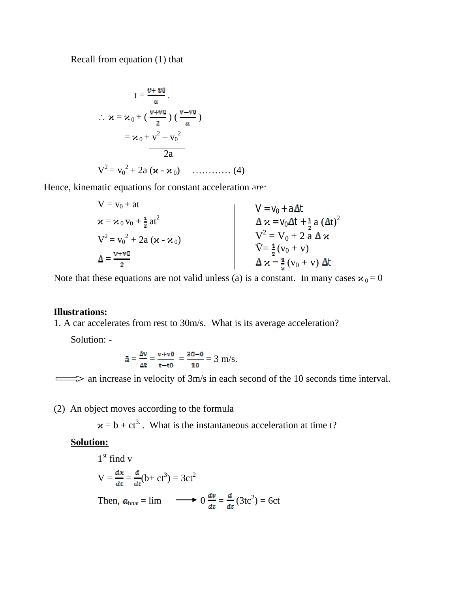Recall from equation (1) that

$$
t = \frac{v + v0}{a}.
$$
  
\n
$$
\therefore \ \mathbf{x} = \mathbf{x}_0 + \left(\frac{v + v0}{2}\right) \left(\frac{v - v0}{a}\right)
$$
  
\n
$$
= \mathbf{x}_0 + v^2 - v_0^2
$$
  
\n
$$
2a
$$
  
\n
$$
V^2 = v_0^2 + 2a \left(\mathbf{x} - \mathbf{x}_0\right) \quad \dots \quad (4)
$$

Hence, kinematic equations for constant acceleration are:

$$
V = v_0 + at
$$
  
\n
$$
\mathbf{x} = \mathbf{x}_0 v_0 + \frac{1}{2}at^2
$$
  
\n
$$
V^2 = v_0^2 + 2a (\mathbf{x} - \mathbf{x}_0)
$$
  
\n
$$
\Delta = \frac{v + v0}{2}
$$
  
\n
$$
\mathbf{V} = V_0 + a \Delta t
$$
  
\n
$$
\Delta \mathbf{x} = V_0 \Delta t + \frac{1}{2} a (\Delta t)^2
$$
  
\n
$$
V^2 = V_0 + 2 a \Delta \mathbf{x}
$$
  
\n
$$
\tilde{V} = \frac{1}{2} (v_0 + v)
$$
  
\n
$$
\Delta \mathbf{x} = \frac{1}{2} (v_0 + v) \Delta t
$$

Note that these equations are not valid unless (a) is a constant. In many cases  $x_0 = 0$ 

#### **Illustrations:**

1. A car accelerates from rest to 30m/s. What is its average acceleration?

Solution: -

$$
\bar{a} = \frac{\Delta v}{\Delta t} = \frac{v + v0}{t - t0} = \frac{30 - 0}{10} = 3 \text{ m/s}.
$$

 $\implies$  an increase in velocity of 3m/s in each second of the 10 seconds time interval.

(2) An object moves according to the formula

 $x = b + ct<sup>3</sup>$ . What is the instantaneous acceleration at time t?

## **Solution:**

1<sup>st</sup> find v  
\n
$$
V = \frac{dx}{dt} = \frac{d}{dt}(b + ct^3) = 3ct^2
$$
\nThen,  $a_{\text{hnat}} = \lim \longrightarrow 0 \frac{dv}{dt} = \frac{d}{dt}(3tc^2) = 6ct$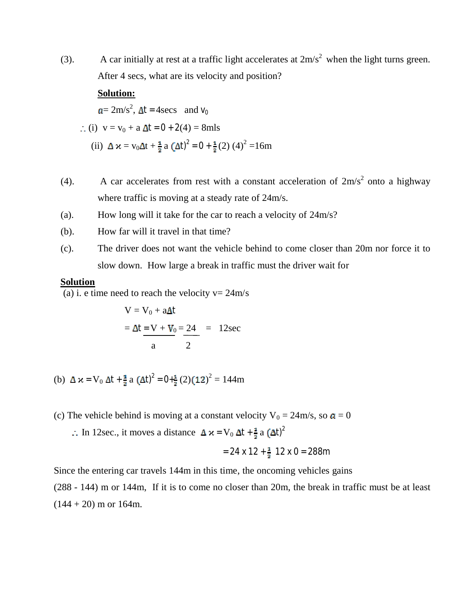(3). A car initially at rest at a traffic light accelerates at  $2m/s^2$  when the light turns green. After 4 secs, what are its velocity and position?

#### **Solution:**

 $= 2m/s^2$ ,  $\Delta t = 4secs$  and  $v_0$ 

- $(i)$  v = v<sub>0</sub> + a  $\Delta t = 0 + 2(4) = 8$ mls
- (ii)  $\Delta x = v_0 \Delta t + \frac{1}{2} a (\Delta t)^2 = 0 + \frac{1}{2} (2) (4)^2 = 16m$
- (4). A car accelerates from rest with a constant acceleration of  $2m/s^2$  onto a highway where traffic is moving at a steady rate of 24m/s.
- (a). How long will it take for the car to reach a velocity of 24m/s?
- (b). How far will it travel in that time?
- (c). The driver does not want the vehicle behind to come closer than 20m nor force it to slow down. How large a break in traffic must the driver wait for

### **Solution**

(a) i. e time need to reach the velocity  $v = 24m/s$ 

$$
V = V_0 + a\Delta t
$$
  
=  $\Delta t = V + V_0 = 24$  = 12sec

- (b)  $\Delta x = V_0 \Delta t + \frac{1}{8} a (\Delta t)^2 = 0 + \frac{1}{8} (2) (12)^2 = 144 \text{m}$
- (c) The vehicle behind is moving at a constant velocity  $V_0 = 24 \text{ m/s}$ , so  $a = 0$ 
	- ∴ In 12sec., it moves a distance  $\Delta x = V_0 \Delta t + \frac{1}{2} a (\Delta t)^2$

$$
= 24 \times 12 + \frac{1}{2} \cdot 12 \times 0 = 288
$$
m

Since the entering car travels 144m in this time, the oncoming vehicles gains

(288 - 144) m or 144m, If it is to come no closer than 20m, the break in traffic must be at least  $(144 + 20)$  m or 164m.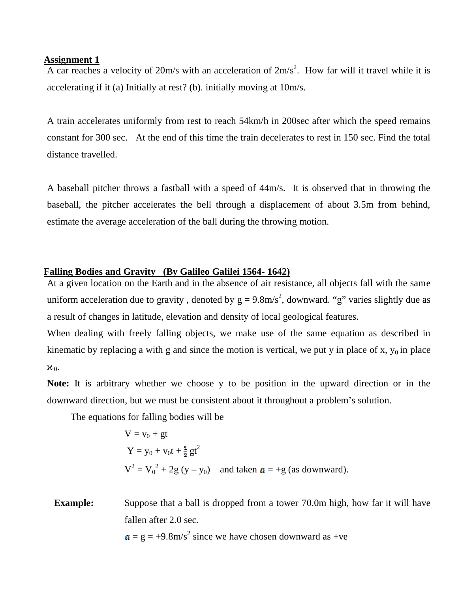#### **Assignment 1**

A car reaches a velocity of 20m/s with an acceleration of  $2m/s^2$ . How far will it travel while it is accelerating if it (a) Initially at rest? (b). initially moving at 10m/s.

A train accelerates uniformly from rest to reach 54km/h in 200sec after which the speed remains constant for 300 sec. At the end of this time the train decelerates to rest in 150 sec. Find the total distance travelled.

A baseball pitcher throws a fastball with a speed of 44m/s. It is observed that in throwing the baseball, the pitcher accelerates the bell through a displacement of about 3.5m from behind, estimate the average acceleration of the ball during the throwing motion.

### **Falling Bodies and Gravity (By Galileo Galilei 1564- 1642)**

At a given location on the Earth and in the absence of air resistance, all objects fall with the same uniform acceleration due to gravity, denoted by  $g = 9.8 \text{m/s}^2$ , downward. "g" varies slightly due as a result of changes in latitude, elevation and density of local geological features.

When dealing with freely falling objects, we make use of the same equation as described in kinematic by replacing a with g and since the motion is vertical, we put y in place of x,  $y_0$  in place  $x_0$ .

**Note:** It is arbitrary whether we choose y to be position in the upward direction or in the downward direction, but we must be consistent about it throughout a problem's solution.

The equations for falling bodies will be

$$
V = v_0 + gt
$$
  
\n
$$
Y = y_0 + v_0t + \frac{1}{2}gt^2
$$
  
\n
$$
V^2 = V_0^2 + 2g (y - y_0)
$$
 and taken  $a = +g$  (as downward).

**Example:** Suppose that a ball is dropped from a tower 70.0m high, how far it will have fallen after 2.0 sec.

 $= g = +9.8 \text{m/s}^2$  since we have chosen downward as +ve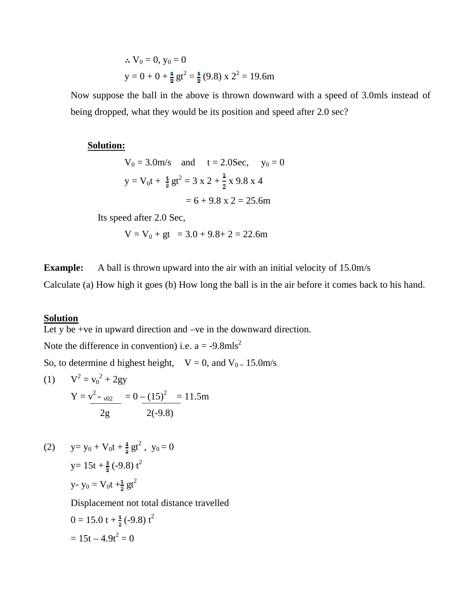$$
\therefore V_0 = 0, y_0 = 0
$$
  
y = 0 + 0 +  $\frac{4}{3}$  gt<sup>2</sup> =  $\frac{4}{3}$ (9.8) x 2<sup>2</sup> = 19.6m

Now suppose the ball in the above is thrown downward with a speed of 3.0mls instead of being dropped, what they would be its position and speed after 2.0 sec?

#### **Solution:**

$$
V_0 = 3.0 \text{m/s}
$$
 and  $t = 2.0 \text{Sec}$ ,  $y_0 = 0$   
 $y = V_0 t + \frac{1}{2}gt^2 = 3 \times 2 + \frac{1}{2} \times 9.8 \times 4$   
 $= 6 + 9.8 \times 2 = 25.6 \text{m}$ 

$$
-0+9.0 \text{ X } 2-23
$$

Its speed after 2.0 Sec,

$$
V = V_0 + gt = 3.0 + 9.8 + 2 = 22.6m
$$

**Example:** A ball is thrown upward into the air with an initial velocity of 15.0m/s

Calculate (a) How high it goes (b) How long the ball is in the air before it comes back to his hand.

## **Solution**

Let y be +ve in upward direction and –ve in the downward direction.

Note the difference in convention) i.e.  $a = -9.8 \text{mls}^2$ 

So, to determine d highest height,  $V = 0$ , and  $V_{0} = 15.0$  m/s

(1) 
$$
V^2 = v_0^2 + 2gy
$$
  
\n $Y = v_{02}^2 - v_{02} = 0 - (15)^2 = 11.5m$   
\n $\frac{2g}{3} = \frac{2(-9.8)}{2}$ 

(2) 
$$
y=y_0 + V_0t + \frac{1}{2}gt^2
$$
,  $y_0 = 0$   
 $y = 15t + \frac{1}{2}(-9.8) t^2$   
 $y - y_0 = V_0t + \frac{1}{2}gt^2$ 

Displacement not total distance travelled

$$
0 = 15.0 \text{ t} + \frac{1}{2} (-9.8) \text{ t}^2
$$

$$
= 15 \text{ t} - 4.9 \text{ t}^2 = 0
$$